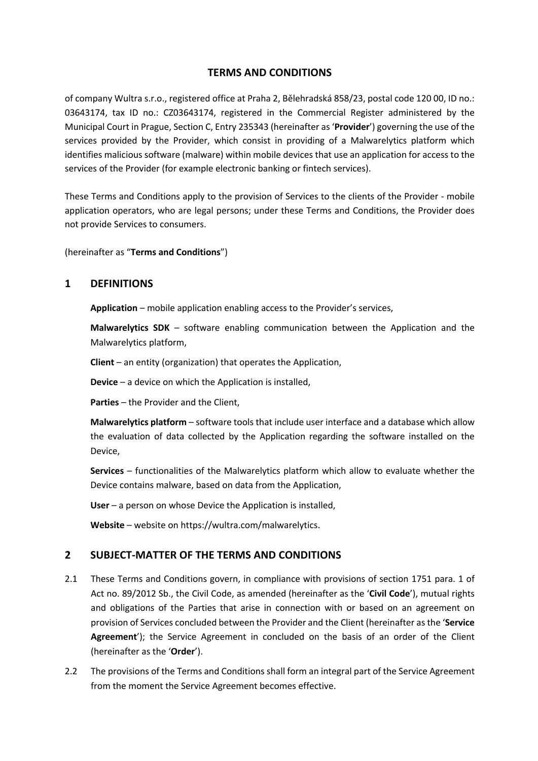# **TERMS AND CONDITIONS**

of company Wultra s.r.o., registered office at Praha 2, Bělehradská 858/23, postal code 120 00, ID no.: 03643174, tax ID no.: CZ03643174, registered in the Commercial Register administered by the Municipal Court in Prague, Section C, Entry 235343 (hereinafter as '**Provider**') governing the use of the services provided by the Provider, which consist in providing of a Malwarelytics platform which identifies malicious software (malware) within mobile devices that use an application for access to the services of the Provider (for example electronic banking or fintech services).

These Terms and Conditions apply to the provision of Services to the clients of the Provider - mobile application operators, who are legal persons; under these Terms and Conditions, the Provider does not provide Services to consumers.

(hereinafter as "**Terms and Conditions**")

# **1 DEFINITIONS**

**Application** – mobile application enabling access to the Provider's services,

**Malwarelytics SDK** – software enabling communication between the Application and the Malwarelytics platform,

**Client** – an entity (organization) that operates the Application,

**Device** – a device on which the Application is installed,

**Parties** – the Provider and the Client,

**Malwarelytics platform** – software tools that include user interface and a database which allow the evaluation of data collected by the Application regarding the software installed on the Device,

**Services** – functionalities of the Malwarelytics platform which allow to evaluate whether the Device contains malware, based on data from the Application,

**User** – a person on whose Device the Application is installed,

**Website** – website on https://wultra.com/malwarelytics.

#### **2 SUBJECT-MATTER OF THE TERMS AND CONDITIONS**

- 2.1 These Terms and Conditions govern, in compliance with provisions of section 1751 para. 1 of Act no. 89/2012 Sb., the Civil Code, as amended (hereinafter as the '**Civil Code**'), mutual rights and obligations of the Parties that arise in connection with or based on an agreement on provision of Services concluded between the Provider and the Client (hereinafter as the '**Service Agreement**'); the Service Agreement in concluded on the basis of an order of the Client (hereinafter as the '**Order**').
- 2.2 The provisions of the Terms and Conditions shall form an integral part of the Service Agreement from the moment the Service Agreement becomes effective.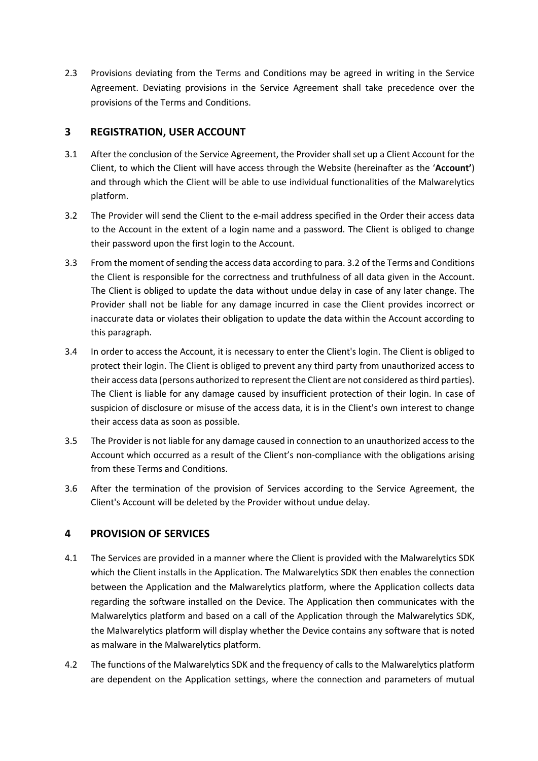2.3 Provisions deviating from the Terms and Conditions may be agreed in writing in the Service Agreement. Deviating provisions in the Service Agreement shall take precedence over the provisions of the Terms and Conditions.

# **3 REGISTRATION, USER ACCOUNT**

- 3.1 After the conclusion of the Service Agreement, the Provider shall set up a Client Account for the Client, to which the Client will have access through the Website (hereinafter as the '**Account'**) and through which the Client will be able to use individual functionalities of the Malwarelytics platform.
- 3.2 The Provider will send the Client to the e-mail address specified in the Order their access data to the Account in the extent of a login name and a password. The Client is obliged to change their password upon the first login to the Account.
- 3.3 From the moment of sending the access data according to para. 3.2 of the Terms and Conditions the Client is responsible for the correctness and truthfulness of all data given in the Account. The Client is obliged to update the data without undue delay in case of any later change. The Provider shall not be liable for any damage incurred in case the Client provides incorrect or inaccurate data or violates their obligation to update the data within the Account according to this paragraph.
- 3.4 In order to access the Account, it is necessary to enter the Client's login. The Client is obliged to protect their login. The Client is obliged to prevent any third party from unauthorized access to their access data (persons authorized to represent the Client are not considered as third parties). The Client is liable for any damage caused by insufficient protection of their login. In case of suspicion of disclosure or misuse of the access data, it is in the Client's own interest to change their access data as soon as possible.
- 3.5 The Provider is not liable for any damage caused in connection to an unauthorized access to the Account which occurred as a result of the Client's non-compliance with the obligations arising from these Terms and Conditions.
- 3.6 After the termination of the provision of Services according to the Service Agreement, the Client's Account will be deleted by the Provider without undue delay.

# **4 PROVISION OF SERVICES**

- 4.1 The Services are provided in a manner where the Client is provided with the Malwarelytics SDK which the Client installs in the Application. The Malwarelytics SDK then enables the connection between the Application and the Malwarelytics platform, where the Application collects data regarding the software installed on the Device. The Application then communicates with the Malwarelytics platform and based on a call of the Application through the Malwarelytics SDK, the Malwarelytics platform will display whether the Device contains any software that is noted as malware in the Malwarelytics platform.
- 4.2 The functions of the Malwarelytics SDK and the frequency of calls to the Malwarelytics platform are dependent on the Application settings, where the connection and parameters of mutual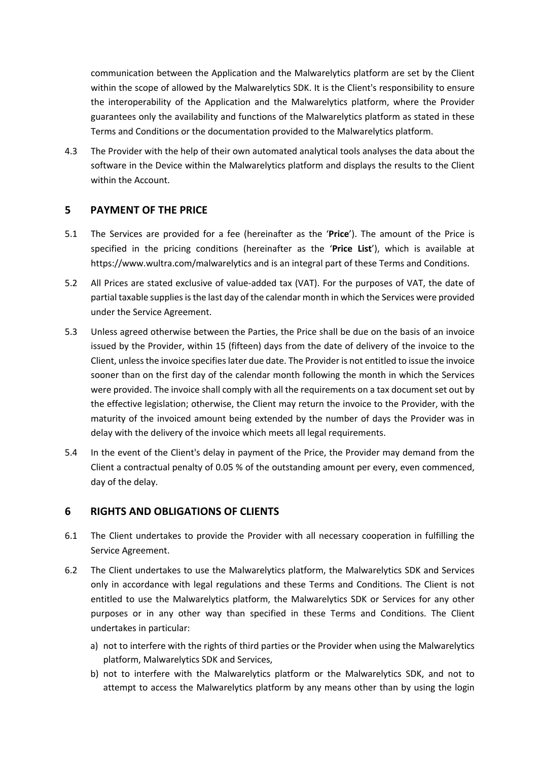communication between the Application and the Malwarelytics platform are set by the Client within the scope of allowed by the Malwarelytics SDK. It is the Client's responsibility to ensure the interoperability of the Application and the Malwarelytics platform, where the Provider guarantees only the availability and functions of the Malwarelytics platform as stated in these Terms and Conditions or the documentation provided to the Malwarelytics platform.

4.3 The Provider with the help of their own automated analytical tools analyses the data about the software in the Device within the Malwarelytics platform and displays the results to the Client within the Account.

### **5 PAYMENT OF THE PRICE**

- 5.1 The Services are provided for a fee (hereinafter as the '**Price**'). The amount of the Price is specified in the pricing conditions (hereinafter as the '**Price List**'), which is available at https://www.wultra.com/malwarelytics and is an integral part of these Terms and Conditions.
- 5.2 All Prices are stated exclusive of value-added tax (VAT). For the purposes of VAT, the date of partial taxable supplies is the last day of the calendar month in which the Services were provided under the Service Agreement.
- 5.3 Unless agreed otherwise between the Parties, the Price shall be due on the basis of an invoice issued by the Provider, within 15 (fifteen) days from the date of delivery of the invoice to the Client, unless the invoice specifies later due date. The Provider is not entitled to issue the invoice sooner than on the first day of the calendar month following the month in which the Services were provided. The invoice shall comply with all the requirements on a tax document set out by the effective legislation; otherwise, the Client may return the invoice to the Provider, with the maturity of the invoiced amount being extended by the number of days the Provider was in delay with the delivery of the invoice which meets all legal requirements.
- 5.4 In the event of the Client's delay in payment of the Price, the Provider may demand from the Client a contractual penalty of 0.05 % of the outstanding amount per every, even commenced, day of the delay.

# **6 RIGHTS AND OBLIGATIONS OF CLIENTS**

- 6.1 The Client undertakes to provide the Provider with all necessary cooperation in fulfilling the Service Agreement.
- 6.2 The Client undertakes to use the Malwarelytics platform, the Malwarelytics SDK and Services only in accordance with legal regulations and these Terms and Conditions. The Client is not entitled to use the Malwarelytics platform, the Malwarelytics SDK or Services for any other purposes or in any other way than specified in these Terms and Conditions. The Client undertakes in particular:
	- a) not to interfere with the rights of third parties or the Provider when using the Malwarelytics platform, Malwarelytics SDK and Services,
	- b) not to interfere with the Malwarelytics platform or the Malwarelytics SDK, and not to attempt to access the Malwarelytics platform by any means other than by using the login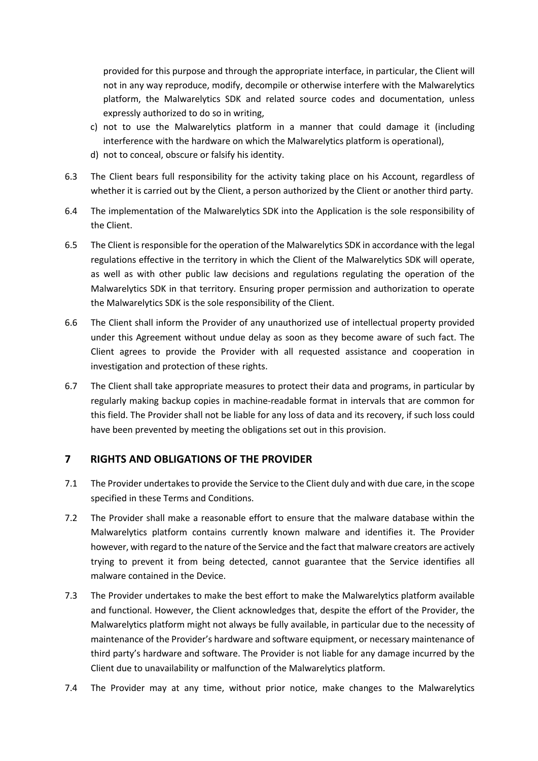provided for this purpose and through the appropriate interface, in particular, the Client will not in any way reproduce, modify, decompile or otherwise interfere with the Malwarelytics platform, the Malwarelytics SDK and related source codes and documentation, unless expressly authorized to do so in writing,

- c) not to use the Malwarelytics platform in a manner that could damage it (including interference with the hardware on which the Malwarelytics platform is operational),
- d) not to conceal, obscure or falsify his identity.
- 6.3 The Client bears full responsibility for the activity taking place on his Account, regardless of whether it is carried out by the Client, a person authorized by the Client or another third party.
- 6.4 The implementation of the Malwarelytics SDK into the Application is the sole responsibility of the Client.
- 6.5 The Client is responsible for the operation of the Malwarelytics SDK in accordance with the legal regulations effective in the territory in which the Client of the Malwarelytics SDK will operate, as well as with other public law decisions and regulations regulating the operation of the Malwarelytics SDK in that territory. Ensuring proper permission and authorization to operate the Malwarelytics SDK is the sole responsibility of the Client.
- 6.6 The Client shall inform the Provider of any unauthorized use of intellectual property provided under this Agreement without undue delay as soon as they become aware of such fact. The Client agrees to provide the Provider with all requested assistance and cooperation in investigation and protection of these rights.
- 6.7 The Client shall take appropriate measures to protect their data and programs, in particular by regularly making backup copies in machine-readable format in intervals that are common for this field. The Provider shall not be liable for any loss of data and its recovery, if such loss could have been prevented by meeting the obligations set out in this provision.

# **7 RIGHTS AND OBLIGATIONS OF THE PROVIDER**

- 7.1 The Provider undertakes to provide the Service to the Client duly and with due care, in the scope specified in these Terms and Conditions.
- 7.2 The Provider shall make a reasonable effort to ensure that the malware database within the Malwarelytics platform contains currently known malware and identifies it. The Provider however, with regard to the nature of the Service and the fact that malware creators are actively trying to prevent it from being detected, cannot guarantee that the Service identifies all malware contained in the Device.
- 7.3 The Provider undertakes to make the best effort to make the Malwarelytics platform available and functional. However, the Client acknowledges that, despite the effort of the Provider, the Malwarelytics platform might not always be fully available, in particular due to the necessity of maintenance of the Provider's hardware and software equipment, or necessary maintenance of third party's hardware and software. The Provider is not liable for any damage incurred by the Client due to unavailability or malfunction of the Malwarelytics platform.
- 7.4 The Provider may at any time, without prior notice, make changes to the Malwarelytics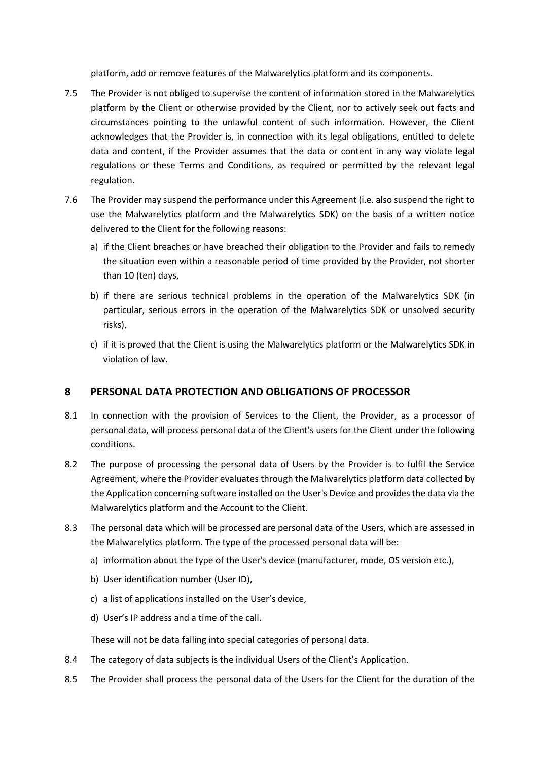platform, add or remove features of the Malwarelytics platform and its components.

- 7.5 The Provider is not obliged to supervise the content of information stored in the Malwarelytics platform by the Client or otherwise provided by the Client, nor to actively seek out facts and circumstances pointing to the unlawful content of such information. However, the Client acknowledges that the Provider is, in connection with its legal obligations, entitled to delete data and content, if the Provider assumes that the data or content in any way violate legal regulations or these Terms and Conditions, as required or permitted by the relevant legal regulation.
- 7.6 The Provider may suspend the performance under this Agreement (i.e. also suspend the right to use the Malwarelytics platform and the Malwarelytics SDK) on the basis of a written notice delivered to the Client for the following reasons:
	- a) if the Client breaches or have breached their obligation to the Provider and fails to remedy the situation even within a reasonable period of time provided by the Provider, not shorter than 10 (ten) days,
	- b) if there are serious technical problems in the operation of the Malwarelytics SDK (in particular, serious errors in the operation of the Malwarelytics SDK or unsolved security risks),
	- c) if it is proved that the Client is using the Malwarelytics platform or the Malwarelytics SDK in violation of law.

# **8 PERSONAL DATA PROTECTION AND OBLIGATIONS OF PROCESSOR**

- 8.1 In connection with the provision of Services to the Client, the Provider, as a processor of personal data, will process personal data of the Client's users for the Client under the following conditions.
- 8.2 The purpose of processing the personal data of Users by the Provider is to fulfil the Service Agreement, where the Provider evaluates through the Malwarelytics platform data collected by the Application concerning software installed on the User's Device and provides the data via the Malwarelytics platform and the Account to the Client.
- 8.3 The personal data which will be processed are personal data of the Users, which are assessed in the Malwarelytics platform. The type of the processed personal data will be:
	- a) information about the type of the User's device (manufacturer, mode, OS version etc.),
	- b) User identification number (User ID),
	- c) a list of applications installed on the User's device,
	- d) User's IP address and a time of the call.

These will not be data falling into special categories of personal data.

- 8.4 The category of data subjects is the individual Users of the Client's Application.
- 8.5 The Provider shall process the personal data of the Users for the Client for the duration of the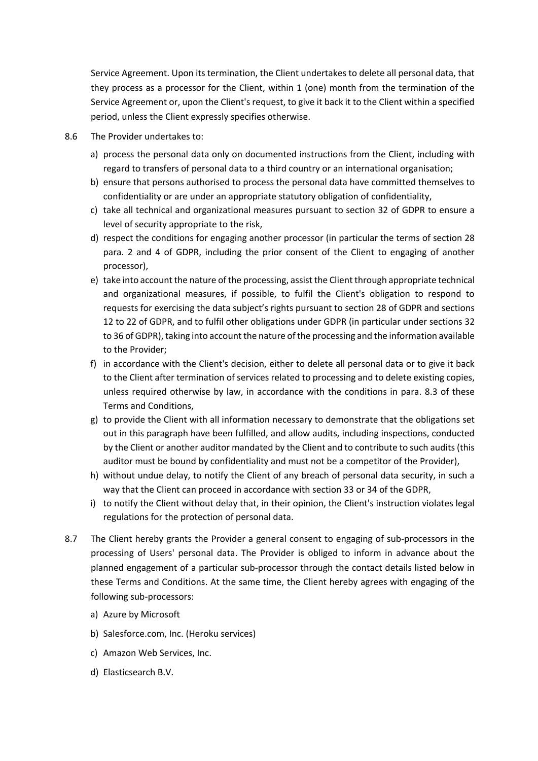Service Agreement. Upon its termination, the Client undertakes to delete all personal data, that they process as a processor for the Client, within 1 (one) month from the termination of the Service Agreement or, upon the Client's request, to give it back it to the Client within a specified period, unless the Client expressly specifies otherwise.

- 8.6 The Provider undertakes to:
	- a) process the personal data only on documented instructions from the Client, including with regard to transfers of personal data to a third country or an international organisation;
	- b) ensure that persons authorised to process the personal data have committed themselves to confidentiality or are under an appropriate statutory obligation of confidentiality,
	- c) take all technical and organizational measures pursuant to section 32 of GDPR to ensure a level of security appropriate to the risk,
	- d) respect the conditions for engaging another processor (in particular the terms of section 28 para. 2 and 4 of GDPR, including the prior consent of the Client to engaging of another processor),
	- e) take into account the nature of the processing, assist the Client through appropriate technical and organizational measures, if possible, to fulfil the Client's obligation to respond to requests for exercising the data subject's rights pursuant to section 28 of GDPR and sections 12 to 22 of GDPR, and to fulfil other obligations under GDPR (in particular under sections 32 to 36 of GDPR), taking into account the nature of the processing and the information available to the Provider;
	- f) in accordance with the Client's decision, either to delete all personal data or to give it back to the Client after termination of services related to processing and to delete existing copies, unless required otherwise by law, in accordance with the conditions in para. 8.3 of these Terms and Conditions,
	- g) to provide the Client with all information necessary to demonstrate that the obligations set out in this paragraph have been fulfilled, and allow audits, including inspections, conducted by the Client or another auditor mandated by the Client and to contribute to such audits (this auditor must be bound by confidentiality and must not be a competitor of the Provider),
	- h) without undue delay, to notify the Client of any breach of personal data security, in such a way that the Client can proceed in accordance with section 33 or 34 of the GDPR,
	- i) to notify the Client without delay that, in their opinion, the Client's instruction violates legal regulations for the protection of personal data.
- 8.7 The Client hereby grants the Provider a general consent to engaging of sub-processors in the processing of Users' personal data. The Provider is obliged to inform in advance about the planned engagement of a particular sub-processor through the contact details listed below in these Terms and Conditions. At the same time, the Client hereby agrees with engaging of the following sub-processors:
	- a) Azure by Microsoft
	- b) Salesforce.com, Inc. (Heroku services)
	- c) Amazon Web Services, Inc.
	- d) Elasticsearch B.V.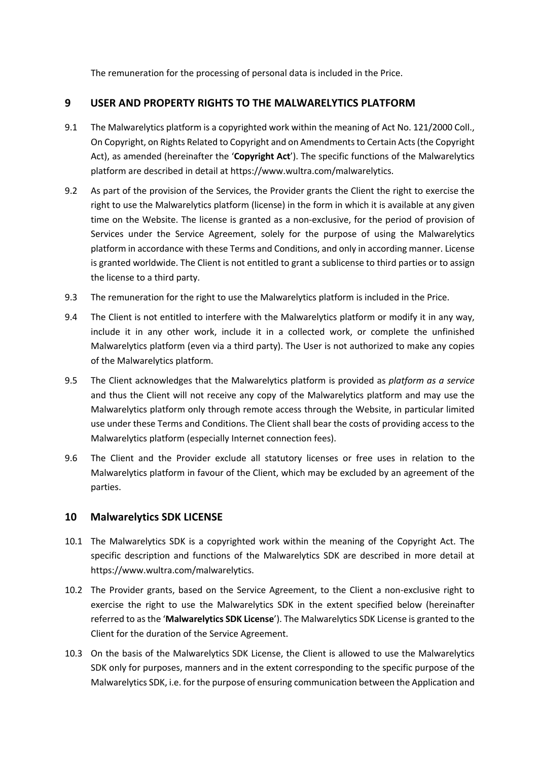The remuneration for the processing of personal data is included in the Price.

### **9 USER AND PROPERTY RIGHTS TO THE MALWARELYTICS PLATFORM**

- 9.1 The Malwarelytics platform is a copyrighted work within the meaning of Act No. 121/2000 Coll., On Copyright, on Rights Related to Copyright and on Amendments to Certain Acts (the Copyright Act), as amended (hereinafter the '**Copyright Act**'). The specific functions of the Malwarelytics platform are described in detail at https://www.wultra.com/malwarelytics.
- 9.2 As part of the provision of the Services, the Provider grants the Client the right to exercise the right to use the Malwarelytics platform (license) in the form in which it is available at any given time on the Website. The license is granted as a non-exclusive, for the period of provision of Services under the Service Agreement, solely for the purpose of using the Malwarelytics platform in accordance with these Terms and Conditions, and only in according manner. License is granted worldwide. The Client is not entitled to grant a sublicense to third parties or to assign the license to a third party.
- 9.3 The remuneration for the right to use the Malwarelytics platform is included in the Price.
- 9.4 The Client is not entitled to interfere with the Malwarelytics platform or modify it in any way, include it in any other work, include it in a collected work, or complete the unfinished Malwarelytics platform (even via a third party). The User is not authorized to make any copies of the Malwarelytics platform.
- 9.5 The Client acknowledges that the Malwarelytics platform is provided as *platform as a service* and thus the Client will not receive any copy of the Malwarelytics platform and may use the Malwarelytics platform only through remote access through the Website, in particular limited use under these Terms and Conditions. The Client shall bear the costs of providing access to the Malwarelytics platform (especially Internet connection fees).
- 9.6 The Client and the Provider exclude all statutory licenses or free uses in relation to the Malwarelytics platform in favour of the Client, which may be excluded by an agreement of the parties.

#### **10 Malwarelytics SDK LICENSE**

- 10.1 The Malwarelytics SDK is a copyrighted work within the meaning of the Copyright Act. The specific description and functions of the Malwarelytics SDK are described in more detail at https://www.wultra.com/malwarelytics.
- 10.2 The Provider grants, based on the Service Agreement, to the Client a non-exclusive right to exercise the right to use the Malwarelytics SDK in the extent specified below (hereinafter referred to as the '**Malwarelytics SDK License**'). The Malwarelytics SDK License is granted to the Client for the duration of the Service Agreement.
- 10.3 On the basis of the Malwarelytics SDK License, the Client is allowed to use the Malwarelytics SDK only for purposes, manners and in the extent corresponding to the specific purpose of the Malwarelytics SDK, i.e. for the purpose of ensuring communication between the Application and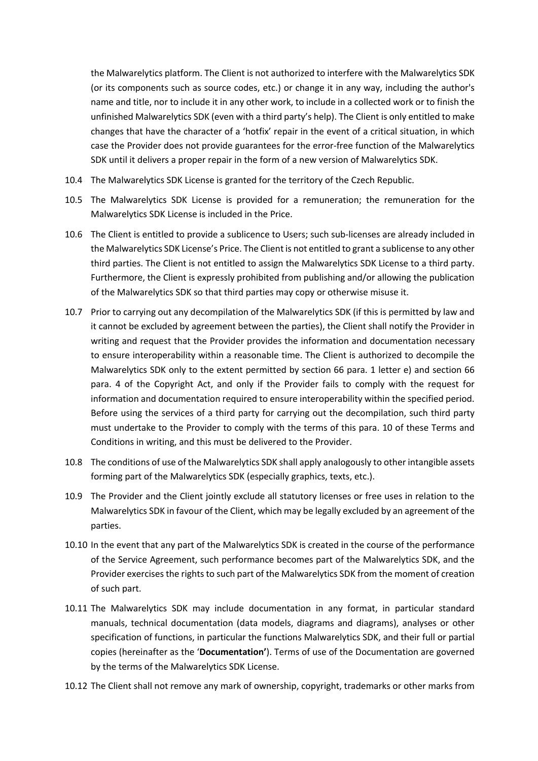the Malwarelytics platform. The Client is not authorized to interfere with the Malwarelytics SDK (or its components such as source codes, etc.) or change it in any way, including the author's name and title, nor to include it in any other work, to include in a collected work or to finish the unfinished Malwarelytics SDK (even with a third party's help). The Client is only entitled to make changes that have the character of a 'hotfix' repair in the event of a critical situation, in which case the Provider does not provide guarantees for the error-free function of the Malwarelytics SDK until it delivers a proper repair in the form of a new version of Malwarelytics SDK.

- 10.4 The Malwarelytics SDK License is granted for the territory of the Czech Republic.
- 10.5 The Malwarelytics SDK License is provided for a remuneration; the remuneration for the Malwarelytics SDK License is included in the Price.
- 10.6 The Client is entitled to provide a sublicence to Users; such sub-licenses are already included in the Malwarelytics SDK License's Price. The Client is not entitled to grant a sublicense to any other third parties. The Client is not entitled to assign the Malwarelytics SDK License to a third party. Furthermore, the Client is expressly prohibited from publishing and/or allowing the publication of the Malwarelytics SDK so that third parties may copy or otherwise misuse it.
- 10.7 Prior to carrying out any decompilation of the Malwarelytics SDK (if this is permitted by law and it cannot be excluded by agreement between the parties), the Client shall notify the Provider in writing and request that the Provider provides the information and documentation necessary to ensure interoperability within a reasonable time. The Client is authorized to decompile the Malwarelytics SDK only to the extent permitted by section 66 para. 1 letter e) and section 66 para. 4 of the Copyright Act, and only if the Provider fails to comply with the request for information and documentation required to ensure interoperability within the specified period. Before using the services of a third party for carrying out the decompilation, such third party must undertake to the Provider to comply with the terms of this para. 10 of these Terms and Conditions in writing, and this must be delivered to the Provider.
- 10.8 The conditions of use of the Malwarelytics SDK shall apply analogously to other intangible assets forming part of the Malwarelytics SDK (especially graphics, texts, etc.).
- 10.9 The Provider and the Client jointly exclude all statutory licenses or free uses in relation to the Malwarelytics SDK in favour of the Client, which may be legally excluded by an agreement of the parties.
- 10.10 In the event that any part of the Malwarelytics SDK is created in the course of the performance of the Service Agreement, such performance becomes part of the Malwarelytics SDK, and the Provider exercises the rights to such part of the Malwarelytics SDK from the moment of creation of such part.
- 10.11 The Malwarelytics SDK may include documentation in any format, in particular standard manuals, technical documentation (data models, diagrams and diagrams), analyses or other specification of functions, in particular the functions Malwarelytics SDK, and their full or partial copies (hereinafter as the '**Documentation'**). Terms of use of the Documentation are governed by the terms of the Malwarelytics SDK License.
- 10.12 The Client shall not remove any mark of ownership, copyright, trademarks or other marks from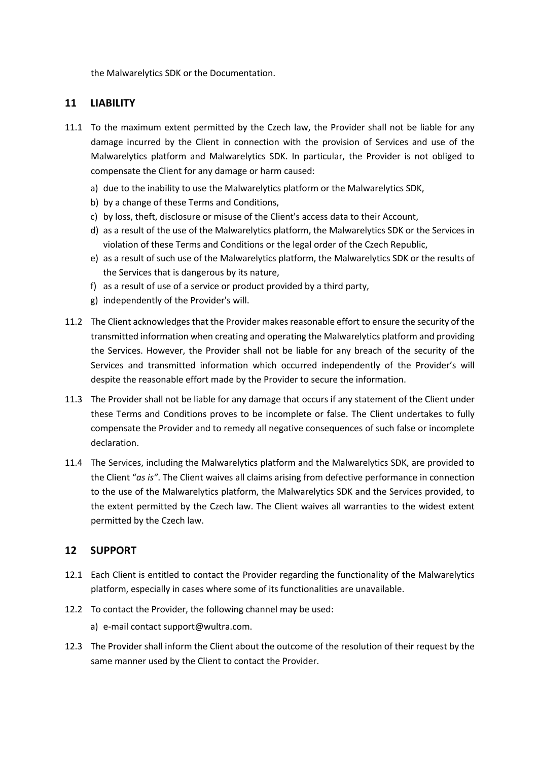the Malwarelytics SDK or the Documentation.

### **11 LIABILITY**

- 11.1 To the maximum extent permitted by the Czech law, the Provider shall not be liable for any damage incurred by the Client in connection with the provision of Services and use of the Malwarelytics platform and Malwarelytics SDK. In particular, the Provider is not obliged to compensate the Client for any damage or harm caused:
	- a) due to the inability to use the Malwarelytics platform or the Malwarelytics SDK,
	- b) by a change of these Terms and Conditions,
	- c) by loss, theft, disclosure or misuse of the Client's access data to their Account,
	- d) as a result of the use of the Malwarelytics platform, the Malwarelytics SDK or the Services in violation of these Terms and Conditions or the legal order of the Czech Republic,
	- e) as a result of such use of the Malwarelytics platform, the Malwarelytics SDK or the results of the Services that is dangerous by its nature,
	- f) as a result of use of a service or product provided by a third party,
	- g) independently of the Provider's will.
- 11.2 The Client acknowledges that the Provider makes reasonable effort to ensure the security of the transmitted information when creating and operating the Malwarelytics platform and providing the Services. However, the Provider shall not be liable for any breach of the security of the Services and transmitted information which occurred independently of the Provider's will despite the reasonable effort made by the Provider to secure the information.
- 11.3 The Provider shall not be liable for any damage that occurs if any statement of the Client under these Terms and Conditions proves to be incomplete or false. The Client undertakes to fully compensate the Provider and to remedy all negative consequences of such false or incomplete declaration.
- 11.4 The Services, including the Malwarelytics platform and the Malwarelytics SDK, are provided to the Client "*as is"*. The Client waives all claims arising from defective performance in connection to the use of the Malwarelytics platform, the Malwarelytics SDK and the Services provided, to the extent permitted by the Czech law. The Client waives all warranties to the widest extent permitted by the Czech law.

#### **12 SUPPORT**

- 12.1 Each Client is entitled to contact the Provider regarding the functionality of the Malwarelytics platform, especially in cases where some of its functionalities are unavailable.
- 12.2 To contact the Provider, the following channel may be used:
	- a) e-mail contact support@wultra.com.
- 12.3 The Provider shall inform the Client about the outcome of the resolution of their request by the same manner used by the Client to contact the Provider.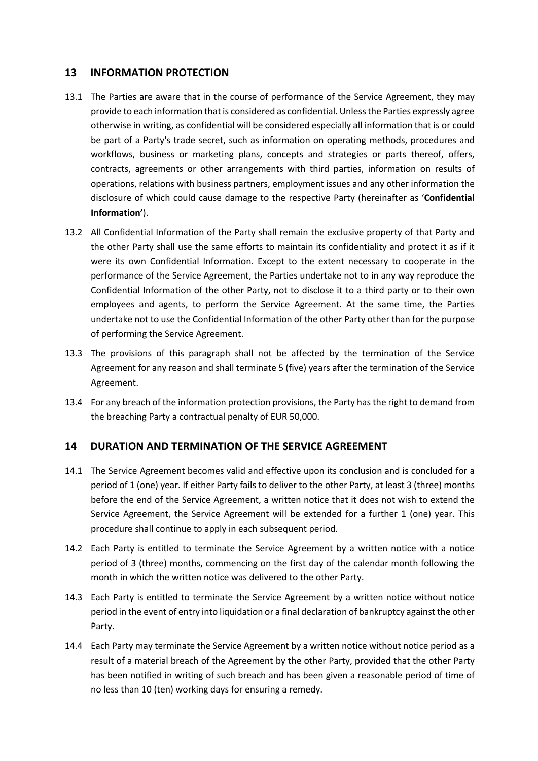### **13 INFORMATION PROTECTION**

- 13.1 The Parties are aware that in the course of performance of the Service Agreement, they may provide to each information that is considered as confidential. Unless the Parties expressly agree otherwise in writing, as confidential will be considered especially all information that is or could be part of a Party's trade secret, such as information on operating methods, procedures and workflows, business or marketing plans, concepts and strategies or parts thereof, offers, contracts, agreements or other arrangements with third parties, information on results of operations, relations with business partners, employment issues and any other information the disclosure of which could cause damage to the respective Party (hereinafter as '**Confidential Information'**).
- 13.2 All Confidential Information of the Party shall remain the exclusive property of that Party and the other Party shall use the same efforts to maintain its confidentiality and protect it as if it were its own Confidential Information. Except to the extent necessary to cooperate in the performance of the Service Agreement, the Parties undertake not to in any way reproduce the Confidential Information of the other Party, not to disclose it to a third party or to their own employees and agents, to perform the Service Agreement. At the same time, the Parties undertake not to use the Confidential Information of the other Party other than for the purpose of performing the Service Agreement.
- 13.3 The provisions of this paragraph shall not be affected by the termination of the Service Agreement for any reason and shall terminate 5 (five) years after the termination of the Service Agreement.
- 13.4 For any breach of the information protection provisions, the Party has the right to demand from the breaching Party a contractual penalty of EUR 50,000.

# **14 DURATION AND TERMINATION OF THE SERVICE AGREEMENT**

- 14.1 The Service Agreement becomes valid and effective upon its conclusion and is concluded for a period of 1 (one) year. If either Party fails to deliver to the other Party, at least 3 (three) months before the end of the Service Agreement, a written notice that it does not wish to extend the Service Agreement, the Service Agreement will be extended for a further 1 (one) year. This procedure shall continue to apply in each subsequent period.
- 14.2 Each Party is entitled to terminate the Service Agreement by a written notice with a notice period of 3 (three) months, commencing on the first day of the calendar month following the month in which the written notice was delivered to the other Party.
- 14.3 Each Party is entitled to terminate the Service Agreement by a written notice without notice period in the event of entry into liquidation or a final declaration of bankruptcy against the other Party.
- 14.4 Each Party may terminate the Service Agreement by a written notice without notice period as a result of a material breach of the Agreement by the other Party, provided that the other Party has been notified in writing of such breach and has been given a reasonable period of time of no less than 10 (ten) working days for ensuring a remedy.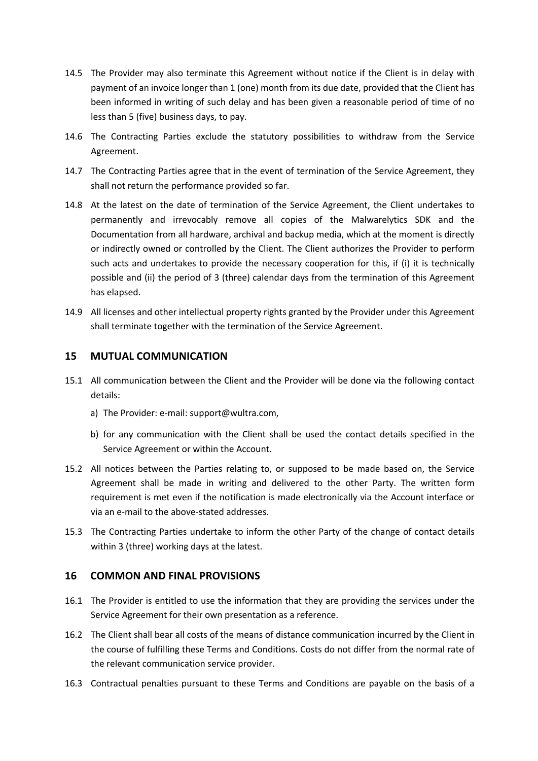- 14.5 The Provider may also terminate this Agreement without notice if the Client is in delay with payment of an invoice longer than 1 (one) month from its due date, provided that the Client has been informed in writing of such delay and has been given a reasonable period of time of no less than 5 (five) business days, to pay.
- 14.6 The Contracting Parties exclude the statutory possibilities to withdraw from the Service Agreement.
- 14.7 The Contracting Parties agree that in the event of termination of the Service Agreement, they shall not return the performance provided so far.
- 14.8 At the latest on the date of termination of the Service Agreement, the Client undertakes to permanently and irrevocably remove all copies of the Malwarelytics SDK and the Documentation from all hardware, archival and backup media, which at the moment is directly or indirectly owned or controlled by the Client. The Client authorizes the Provider to perform such acts and undertakes to provide the necessary cooperation for this, if (i) it is technically possible and (ii) the period of 3 (three) calendar days from the termination of this Agreement has elapsed.
- 14.9 All licenses and other intellectual property rights granted by the Provider under this Agreement shall terminate together with the termination of the Service Agreement.

### **15 MUTUAL COMMUNICATION**

- 15.1 All communication between the Client and the Provider will be done via the following contact details:
	- a) The Provider: e-mail: support@wultra.com,
	- b) for any communication with the Client shall be used the contact details specified in the Service Agreement or within the Account.
- 15.2 All notices between the Parties relating to, or supposed to be made based on, the Service Agreement shall be made in writing and delivered to the other Party. The written form requirement is met even if the notification is made electronically via the Account interface or via an e-mail to the above-stated addresses.
- 15.3 The Contracting Parties undertake to inform the other Party of the change of contact details within 3 (three) working days at the latest.

#### **16 COMMON AND FINAL PROVISIONS**

- 16.1 The Provider is entitled to use the information that they are providing the services under the Service Agreement for their own presentation as a reference.
- 16.2 The Client shall bear all costs of the means of distance communication incurred by the Client in the course of fulfilling these Terms and Conditions. Costs do not differ from the normal rate of the relevant communication service provider.
- 16.3 Contractual penalties pursuant to these Terms and Conditions are payable on the basis of a